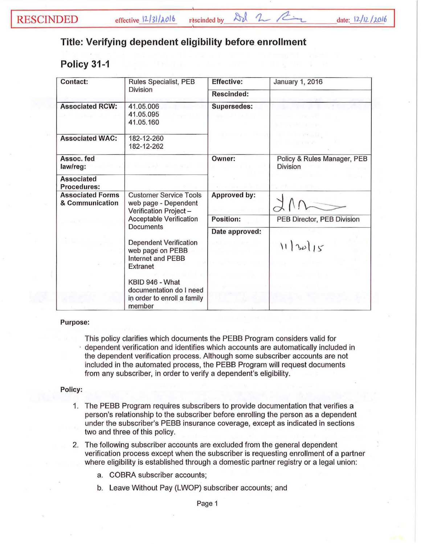effective  $12/31/\lambda$ olb rescinded by  $\Delta d$  2  $\sim$   $\approx$  date:  $12/12/2016$ 

## **Title: Verifying dependent eligibility before enrollment**

## **Policy 31-1**

| Contact:                                   | Rules Specialist, PEB<br>Division                                                                                             | <b>Effective:</b> | <b>January 1, 2016</b>                         |
|--------------------------------------------|-------------------------------------------------------------------------------------------------------------------------------|-------------------|------------------------------------------------|
|                                            |                                                                                                                               | Rescinded:        |                                                |
| <b>Associated RCW:</b>                     | 41.05.006<br>41.05.095<br>41.05.160                                                                                           | Supersedes:       |                                                |
| <b>Associated WAC:</b>                     | 182-12-260<br>182-12-262                                                                                                      |                   |                                                |
| Assoc. fed<br>law/reg:                     |                                                                                                                               | Owner:            | Policy & Rules Manager, PEB<br><b>Division</b> |
| <b>Associated</b><br>Procedures:           |                                                                                                                               |                   |                                                |
| <b>Associated Forms</b><br>& Communication | <b>Customer Service Tools</b><br>web page - Dependent<br>Verification Project-<br>Acceptable Verification<br><b>Documents</b> | Approved by:      |                                                |
|                                            |                                                                                                                               | Position:         | PEB Director, PEB Division                     |
|                                            |                                                                                                                               | Date approved:    |                                                |
|                                            | <b>Dependent Verification</b><br>web page on PEBB<br>Internet and PEBB<br>Extranet                                            |                   | 11  30 15                                      |
|                                            | KBID 946 - What<br>documentation do I need<br>in order to enroll a family<br>member                                           |                   |                                                |

## Purpose:

This policy clarifies which documents the PEBB Program considers valid for · dependent verification and identifies which accounts are automatically included in the dependent verification process. Although some subscriber accounts are not included in the automated process, the PEBB Program will request documents from any subscriber, in order to verify a dependent's eligibility.

## Policy:

- 1. The PEBB Program requires subscribers to provide documentation that verifies a person's relationship to the subscriber before enrolling the person as a dependent under the subscriber's PEBB insurance coverage, except as indicated in sections two and three of this policy.
- 2. The following subscriber accounts are excluded from the general dependent verification process except when the subscriber is requesting enrollment of a partner where eligibility is established through a domestic partner registry or a legal union:
	- a. COBRA subscriber accounts;
	- b. Leave Without Pay (LWOP) subscriber accounts; and